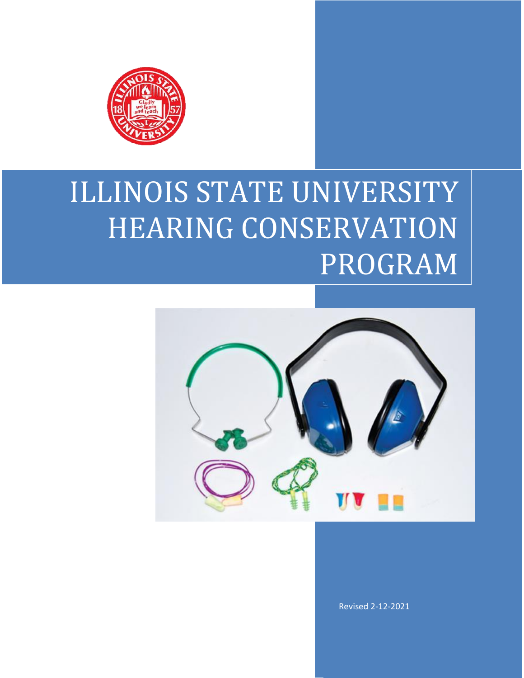

# ILLINOIS STATE UNIVERSITY HEARING CONSERVATION PROGRAM



Revised 2-12-2021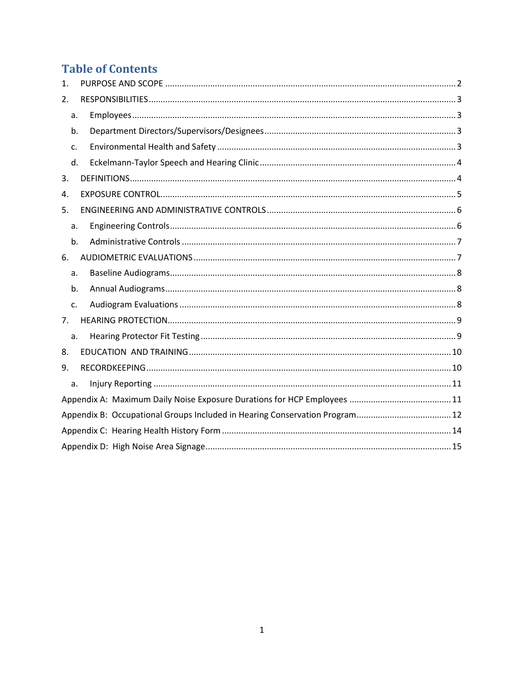## **Table of Contents**

| 1.               |
|------------------|
| $\overline{2}$ . |
| a.               |
| b.               |
| c.               |
| d.               |
| 3.               |
| 4.               |
| 5.               |
| a.               |
| b.               |
| 6.               |
| a.               |
| b.               |
| c.               |
| 7.               |
| a.               |
| 8.               |
| 9.               |
| a.               |
|                  |
|                  |
|                  |
|                  |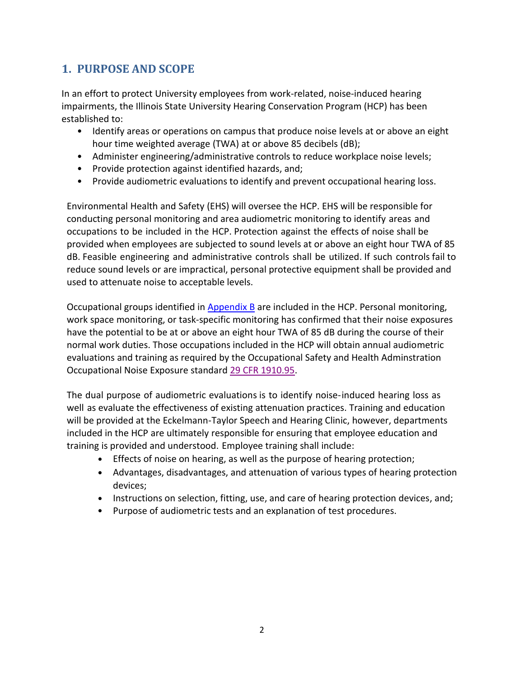### <span id="page-2-0"></span>**1. PURPOSE AND SCOPE**

In an effort to protect University employees from work-related, noise-induced hearing impairments, the Illinois State University Hearing Conservation Program (HCP) has been established to:

- Identify areas or operations on campus that produce noise levels at or above an eight hour time weighted average (TWA) at or above 85 decibels (dB);
- Administer engineering/administrative controls to reduce workplace noise levels;
- Provide protection against identified hazards, and;
- Provide audiometric evaluations to identify and prevent occupational hearing loss.

Environmental Health and Safety (EHS) will oversee the HCP. EHS will be responsible for conducting personal monitoring and area audiometric monitoring to identify areas and occupations to be included in the HCP. Protection against the effects of noise shall be provided when employees are subjected to sound levels at or above an eight hour TWA of 85 dB. Feasible engineering and administrative controls shall be utilized. If such controls fail to reduce sound levels or are impractical, personal protective equipment shall be provided and used to attenuate noise to acceptable levels.

Occupational groups identified in [Appendix B](#page-12-0) are included in the HCP. Personal monitoring, work space monitoring, or task-specific monitoring has confirmed that their noise exposures have the potential to be at or above an eight hour TWA of 85 dB during the course of their normal work duties. Those occupations included in the HCP will obtain annual audiometric evaluations and training as required by the Occupational Safety and Health Adminstration Occupational Noise Exposure standard [29 CFR 1910.95.](http://www.osha.gov/pls/oshaweb/owadisp.show_document?p_table=standards&p_id=9735)

The dual purpose of audiometric evaluations is to identify noise-induced hearing loss as well as evaluate the effectiveness of existing attenuation practices. Training and education will be provided at the Eckelmann-Taylor Speech and Hearing Clinic, however, departments included in the HCP are ultimately responsible for ensuring that employee education and training is provided and understood. Employee training shall include:

- Effects of noise on hearing, as well as the purpose of hearing protection;
- Advantages, disadvantages, and attenuation of various types of hearing protection devices;
- Instructions on selection, fitting, use, and care of hearing protection devices, and;
- Purpose of audiometric tests and an explanation of test procedures.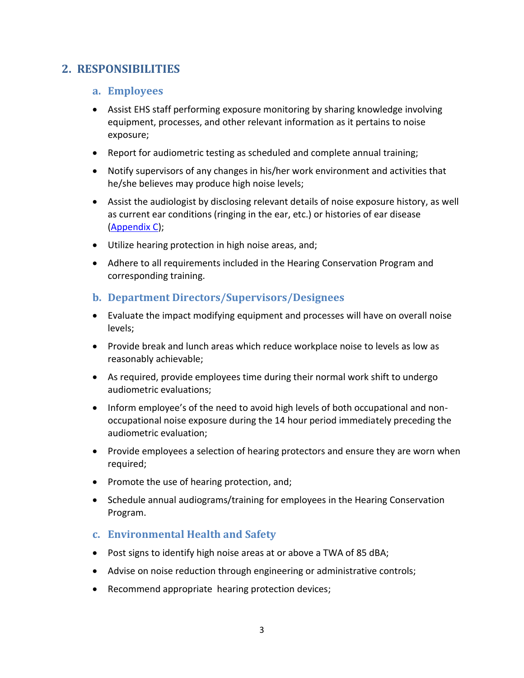#### <span id="page-3-1"></span><span id="page-3-0"></span>**2. RESPONSIBILITIES**

#### **a. Employees**

- Assist EHS staff performing exposure monitoring by sharing knowledge involving equipment, processes, and other relevant information as it pertains to noise exposure;
- Report for audiometric testing as scheduled and complete annual training;
- Notify supervisors of any changes in his/her work environment and activities that he/she believes may produce high noise levels;
- Assist the audiologist by disclosing relevant details of noise exposure history, as well as current ear conditions (ringing in the ear, etc.) or histories of ear disease [\(Appendix C\)](#page-14-0);
- Utilize hearing protection in high noise areas, and;
- Adhere to all requirements included in the Hearing Conservation Program and corresponding training.

#### <span id="page-3-2"></span>**b. Department Directors/Supervisors/Designees**

- Evaluate the impact modifying equipment and processes will have on overall noise levels;
- Provide break and lunch areas which reduce workplace noise to levels as low as reasonably achievable;
- As required, provide employees time during their normal work shift to undergo audiometric evaluations;
- Inform employee's of the need to avoid high levels of both occupational and nonoccupational noise exposure during the 14 hour period immediately preceding the audiometric evaluation;
- Provide employees a selection of hearing protectors and ensure they are worn when required;
- Promote the use of hearing protection, and;
- Schedule annual audiograms/training for employees in the Hearing Conservation Program.

#### <span id="page-3-3"></span>**c. Environmental Health and Safety**

- Post signs to identify high noise areas at or above a TWA of 85 dBA;
- Advise on noise reduction through engineering or administrative controls;
- Recommend appropriate hearing protection devices;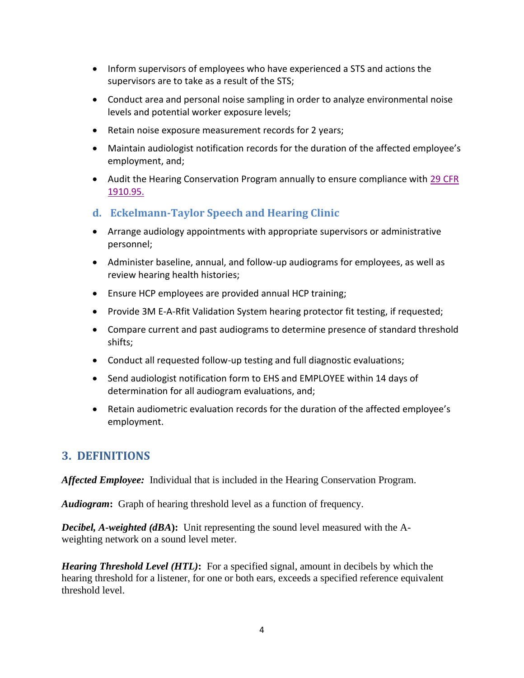- Inform supervisors of employees who have experienced a STS and actions the supervisors are to take as a result of the STS;
- Conduct area and personal noise sampling in order to analyze environmental noise levels and potential worker exposure levels;
- Retain noise exposure measurement records for 2 years;
- Maintain audiologist notification records for the duration of the affected employee's employment, and;
- Audit the Hearing Conservation Program annually to ensure compliance with [29 CFR](http://www.osha.gov/pls/oshaweb/owadisp.show_document?p_table=standards&p_id=9735)  [1910.95.](http://www.osha.gov/pls/oshaweb/owadisp.show_document?p_table=standards&p_id=9735)
- <span id="page-4-0"></span>**d. Eckelmann-Taylor Speech and Hearing Clinic**
- Arrange audiology appointments with appropriate supervisors or administrative personnel;
- Administer baseline, annual, and follow-up audiograms for employees, as well as review hearing health histories;
- Ensure HCP employees are provided annual HCP training;
- Provide 3M E-A-Rfit Validation System hearing protector fit testing, if requested;
- Compare current and past audiograms to determine presence of standard threshold shifts;
- Conduct all requested follow-up testing and full diagnostic evaluations;
- Send audiologist notification form to EHS and EMPLOYEE within 14 days of determination for all audiogram evaluations, and;
- Retain audiometric evaluation records for the duration of the affected employee's employment.

#### <span id="page-4-1"></span>**3. DEFINITIONS**

*Affected Employee:* Individual that is included in the Hearing Conservation Program.

*Audiogram***:** Graph of hearing threshold level as a function of frequency.

*Decibel, A-weighted (dBA***):** Unit representing the sound level measured with the Aweighting network on a sound level meter.

*Hearing Threshold Level (HTL)***:** For a specified signal, amount in decibels by which the hearing threshold for a listener, for one or both ears, exceeds a specified reference equivalent threshold level.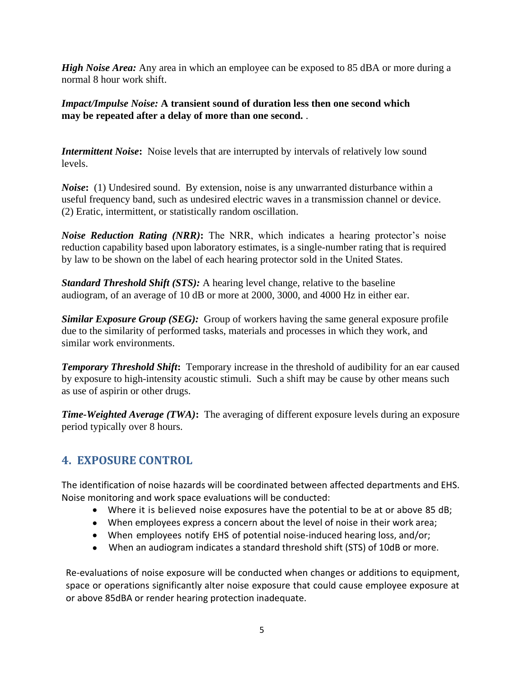*High Noise Area:* Any area in which an employee can be exposed to 85 dBA or more during a normal 8 hour work shift.

*Impact/Impulse Noise:* **A transient sound of duration less then one second which may be repeated after a delay of more than one second.** .

*Intermittent Noise***:** Noise levels that are interrupted by intervals of relatively low sound levels.

*Noise*: (1) Undesired sound. By extension, noise is any unwarranted disturbance within a useful frequency band, such as undesired electric waves in a transmission channel or device. (2) Eratic, intermittent, or statistically random oscillation.

*Noise Reduction Rating (NRR)***:** The NRR, which indicates a hearing protector's noise reduction capability based upon laboratory estimates, is a single-number rating that is required by law to be shown on the label of each hearing protector sold in the United States.

*Standard Threshold Shift (STS):* A hearing level change, relative to the baseline audiogram, of an average of 10 dB or more at 2000, 3000, and 4000 Hz in either ear.

*Similar Exposure Group (SEG):* Group of workers having the same general exposure profile due to the similarity of performed tasks, materials and processes in which they work, and similar work environments.

**Temporary Threshold Shift:** Temporary increase in the threshold of audibility for an ear caused by exposure to high-intensity acoustic stimuli. Such a shift may be cause by other means such as use of aspirin or other drugs.

*Time-Weighted Average (TWA)***:** The averaging of different exposure levels during an exposure period typically over 8 hours.

#### <span id="page-5-0"></span>**4. EXPOSURE CONTROL**

The identification of noise hazards will be coordinated between affected departments and EHS. Noise monitoring and work space evaluations will be conducted:

- Where it is believed noise exposures have the potential to be at or above 85 dB;
- When employees express a concern about the level of noise in their work area;
- When employees notify EHS of potential noise-induced hearing loss, and/or;
- When an audiogram indicates a standard threshold shift (STS) of 10dB or more.

Re-evaluations of noise exposure will be conducted when changes or additions to equipment, space or operations significantly alter noise exposure that could cause employee exposure at or above 85dBA or render hearing protection inadequate.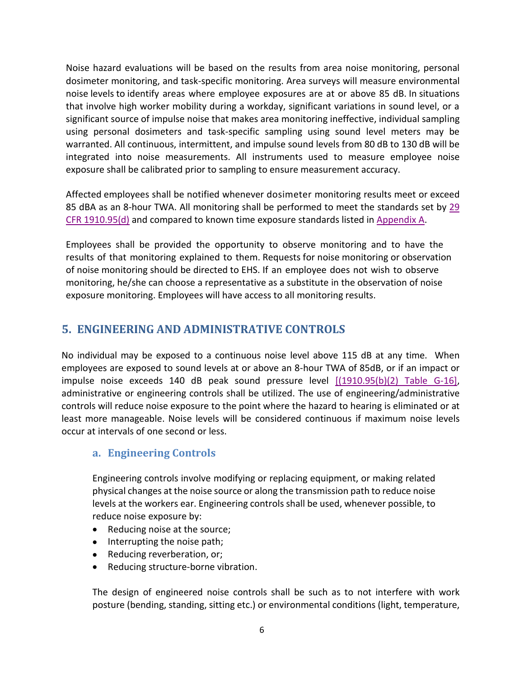Noise hazard evaluations will be based on the results from area noise monitoring, personal dosimeter monitoring, and task-specific monitoring. Area surveys will measure environmental noise levels to identify areas where employee exposures are at or above 85 dB. In situations that involve high worker mobility during a workday, significant variations in sound level, or a significant source of impulse noise that makes area monitoring ineffective, individual sampling using personal dosimeters and task-specific sampling using sound level meters may be warranted. All continuous, intermittent, and impulse sound levels from 80 dB to 130 dB will be integrated into noise measurements. All instruments used to measure employee noise exposure shall be calibrated prior to sampling to ensure measurement accuracy.

Affected employees shall be notified whenever dosimeter monitoring results meet or exceed 85 dBA as an 8-hour TWA. All monitoring shall be performed to meet the standards set by [29](http://www.osha.gov/pls/oshaweb/owadisp.show_document?p_table=standards&p_id=9735)  [CFR 1910.95\(d\)](http://www.osha.gov/pls/oshaweb/owadisp.show_document?p_table=standards&p_id=9735) and compared to known time exposure standards listed in [Appendix A.](#page-11-1)

Employees shall be provided the opportunity to observe monitoring and to have the results of that monitoring explained to them. Requests for noise monitoring or observation of noise monitoring should be directed to EHS. If an employee does not wish to observe monitoring, he/she can choose a representative as a substitute in the observation of noise exposure monitoring. Employees will have access to all monitoring results.

#### <span id="page-6-0"></span>**5. ENGINEERING AND ADMINISTRATIVE CONTROLS**

No individual may be exposed to a continuous noise level above 115 dB at any time. When employees are exposed to sound levels at or above an 8-hour TWA of 85dB, or if an impact or impulse noise exceeds 140 dB peak sound pressure level [\[\(1910.95\(b\)\(2\) Table G-16\],](http://www.osha.gov/pls/oshaweb/owadisp.show_document?p_table=standards&p_id=9735) administrative or engineering controls shall be utilized. The use of engineering/administrative controls will reduce noise exposure to the point where the hazard to hearing is eliminated or at least more manageable. Noise levels will be considered continuous if maximum noise levels occur at intervals of one second or less.

#### <span id="page-6-1"></span>**a. Engineering Controls**

Engineering controls involve modifying or replacing equipment, or making related physical changes at the noise source or along the transmission path to reduce noise levels at the workers ear. Engineering controls shall be used, whenever possible, to reduce noise exposure by:

- Reducing noise at the source;
- Interrupting the noise path;
- Reducing reverberation, or;
- Reducing structure-borne vibration.

The design of engineered noise controls shall be such as to not interfere with work posture (bending, standing, sitting etc.) or environmental conditions (light, temperature,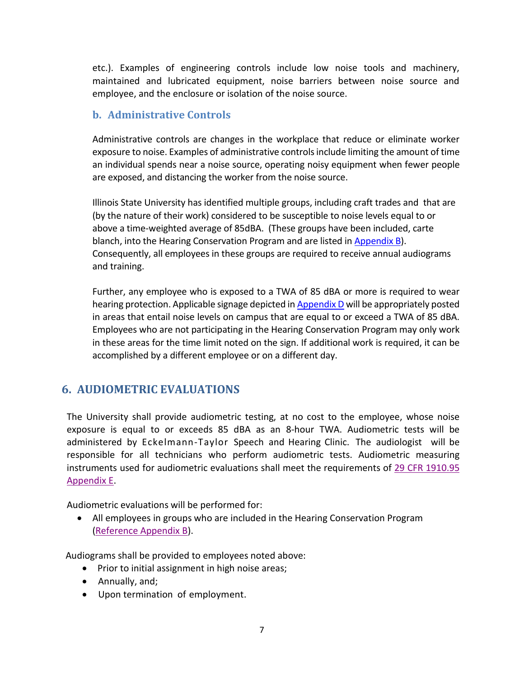etc.). Examples of engineering controls include low noise tools and machinery, maintained and lubricated equipment, noise barriers between noise source and employee, and the enclosure or isolation of the noise source.

#### <span id="page-7-0"></span>**b. Administrative Controls**

Administrative controls are changes in the workplace that reduce or eliminate worker exposure to noise. Examples of administrative controls include limiting the amount of time an individual spends near a noise source, operating noisy equipment when fewer people are exposed, and distancing the worker from the noise source.

Illinois State University has identified multiple groups, including craft trades and that are (by the nature of their work) considered to be susceptible to noise levels equal to or above a time-weighted average of 85dBA. (These groups have been included, carte blanch, into the Hearing Conservation Program and are listed in [Appendix B\)](#page-12-0). Consequently, all employees in these groups are required to receive annual audiograms and training.

Further, any employee who is exposed to a TWA of 85 dBA or more is required to wear hearing protection. Applicable signage depicted i[n Appendix D](#page-14-1) will be appropriately posted in areas that entail noise levels on campus that are equal to or exceed a TWA of 85 dBA. Employees who are not participating in the Hearing Conservation Program may only work in these areas for the time limit noted on the sign. If additional work is required, it can be accomplished by a different employee or on a different day.

#### <span id="page-7-1"></span>**6. AUDIOMETRIC EVALUATIONS**

The University shall provide audiometric testing, at no cost to the employee, whose noise exposure is equal to or exceeds 85 dBA as an 8-hour TWA. Audiometric tests will be administered by Eckelmann-Taylor Speech and Hearing Clinic. The audiologist will be responsible for all technicians who perform audiometric tests. Audiometric measuring instruments used for audiometric evaluations shall meet the requirements of [29 CFR 1910.95](http://www.osha.gov/pls/oshaweb/owadisp.show_document?p_table=STANDARDS&p_id=9740)  [Appendix E.](http://www.osha.gov/pls/oshaweb/owadisp.show_document?p_table=STANDARDS&p_id=9740)

Audiometric evaluations will be performed for:

• All employees in groups who are included in the Hearing Conservation Program [\(Reference Appendix B\)](#page-12-0).

Audiograms shall be provided to employees noted above:

- Prior to initial assignment in high noise areas;
- Annually, and;
- Upon termination of employment.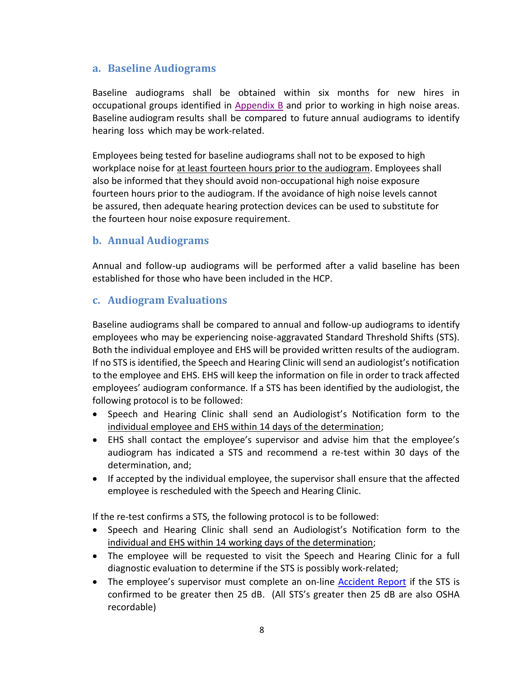#### <span id="page-8-0"></span>**a. Baseline Audiograms**

Baseline audiograms shall be obtained within six months for new hires in occupational groups identified in [Appendix B](#page-12-0) and prior to working in high noise areas. Baseline audiogram results shall be compared to future annual audiograms to identify hearing loss which may be work-related.

Employees being tested for baseline audiograms shall not to be exposed to high workplace noise for at least fourteen hours prior to the audiogram. Employees shall also be informed that they should avoid non-occupational high noise exposure fourteen hours prior to the audiogram. If the avoidance of high noise levels cannot be assured, then adequate hearing protection devices can be used to substitute for the fourteen hour noise exposure requirement.

#### <span id="page-8-1"></span>**b. Annual Audiograms**

Annual and follow-up audiograms will be performed after a valid baseline has been established for those who have been included in the HCP.

#### <span id="page-8-2"></span>**c. Audiogram Evaluations**

Baseline audiograms shall be compared to annual and follow-up audiograms to identify employees who may be experiencing noise-aggravated Standard Threshold Shifts (STS). Both the individual employee and EHS will be provided written results of the audiogram. If no STS is identified, the Speech and Hearing Clinic will send an audiologist's notification to the employee and EHS. EHS will keep the information on file in order to track affected employees' audiogram conformance. If a STS has been identified by the audiologist, the following protocol is to be followed:

- Speech and Hearing Clinic shall send an Audiologist's Notification form to the individual employee and EHS within 14 days of the determination;
- EHS shall contact the employee's supervisor and advise him that the employee's audiogram has indicated a STS and recommend a re-test within 30 days of the determination, and;
- If accepted by the individual employee, the supervisor shall ensure that the affected employee is rescheduled with the Speech and Hearing Clinic.

If the re-test confirms a STS, the following protocol is to be followed:

- Speech and Hearing Clinic shall send an Audiologist's Notification form to the individual and EHS within 14 working days of the determination;
- The employee will be requested to visit the Speech and Hearing Clinic for a full diagnostic evaluation to determine if the STS is possibly work-related;
- The employee's supervisor must complete an on-line [Accident Report](https://ehs.illinoisstate.edu/safety/accident/) if the STS is confirmed to be greater then 25 dB. (All STS's greater then 25 dB are also OSHA recordable)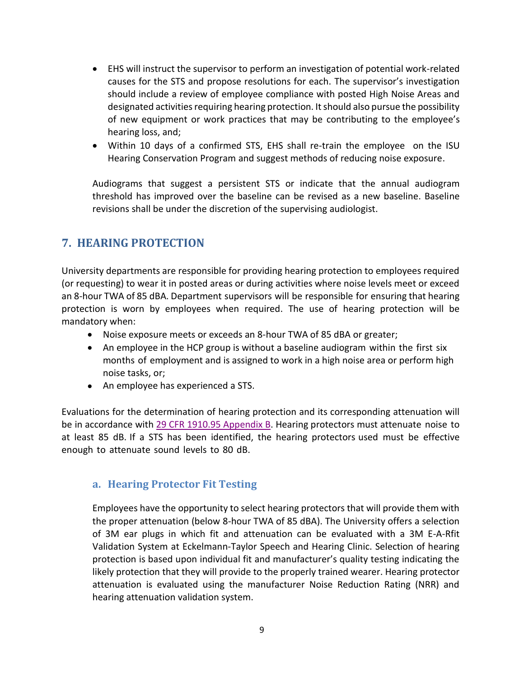- EHS will instruct the supervisor to perform an investigation of potential work-related causes for the STS and propose resolutions for each. The supervisor's investigation should include a review of employee compliance with posted High Noise Areas and designated activities requiring hearing protection. It should also pursue the possibility of new equipment or work practices that may be contributing to the employee's hearing loss, and;
- Within 10 days of a confirmed STS, EHS shall re-train the employee on the ISU Hearing Conservation Program and suggest methods of reducing noise exposure.

Audiograms that suggest a persistent STS or indicate that the annual audiogram threshold has improved over the baseline can be revised as a new baseline. Baseline revisions shall be under the discretion of the supervising audiologist.

#### <span id="page-9-0"></span>**7. HEARING PROTECTION**

University departments are responsible for providing hearing protection to employees required (or requesting) to wear it in posted areas or during activities where noise levels meet or exceed an 8-hour TWA of 85 dBA. Department supervisors will be responsible for ensuring that hearing protection is worn by employees when required. The use of hearing protection will be mandatory when:

- Noise exposure meets or exceeds an 8-hour TWA of 85 dBA or greater;
- An employee in the HCP group is without a baseline audiogram within the first six months of employment and is assigned to work in a high noise area or perform high noise tasks, or;
- An employee has experienced a STS.

Evaluations for the determination of hearing protection and its corresponding attenuation will be in accordance with [29 CFR 1910.95 Appendix B.](http://www.osha.gov/pls/oshaweb/owadisp.show_document?p_table=STANDARDS&p_id=9740) Hearing protectors must attenuate noise to at least 85 dB. If a STS has been identified, the hearing protectors used must be effective enough to attenuate sound levels to 80 dB.

#### <span id="page-9-1"></span>**a. Hearing Protector Fit Testing**

Employees have the opportunity to select hearing protectors that will provide them with the proper attenuation (below 8-hour TWA of 85 dBA). The University offers a selection of 3M ear plugs in which fit and attenuation can be evaluated with a 3M E-A-Rfit Validation System at Eckelmann-Taylor Speech and Hearing Clinic. Selection of hearing protection is based upon individual fit and manufacturer's quality testing indicating the likely protection that they will provide to the properly trained wearer. Hearing protector attenuation is evaluated using the manufacturer Noise Reduction Rating (NRR) and hearing attenuation validation system.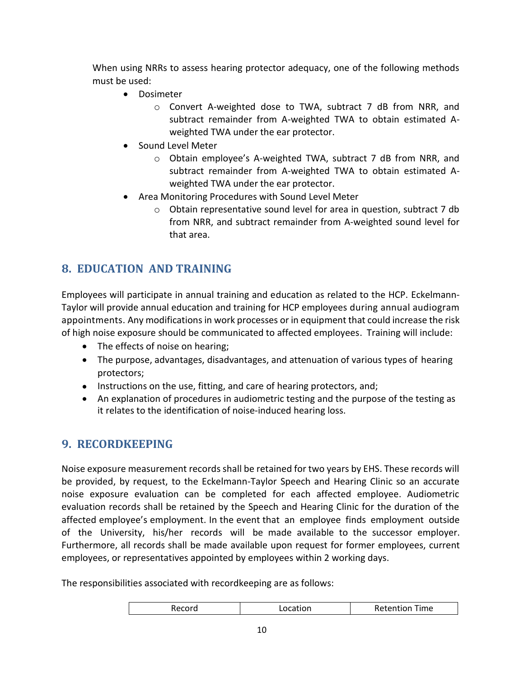When using NRRs to assess hearing protector adequacy, one of the following methods must be used:

- Dosimeter
	- o Convert A-weighted dose to TWA, subtract 7 dB from NRR, and subtract remainder from A-weighted TWA to obtain estimated Aweighted TWA under the ear protector.
- Sound Level Meter
	- $\circ$  Obtain employee's A-weighted TWA, subtract 7 dB from NRR, and subtract remainder from A-weighted TWA to obtain estimated Aweighted TWA under the ear protector.
- Area Monitoring Procedures with Sound Level Meter
	- $\circ$  Obtain representative sound level for area in question, subtract 7 db from NRR, and subtract remainder from A-weighted sound level for that area.

## <span id="page-10-0"></span>**8. EDUCATION AND TRAINING**

Employees will participate in annual training and education as related to the HCP. Eckelmann-Taylor will provide annual education and training for HCP employees during annual audiogram appointments. Any modifications in work processes or in equipment that could increase the risk of high noise exposure should be communicated to affected employees. Training will include:

- The effects of noise on hearing;
- The purpose, advantages, disadvantages, and attenuation of various types of hearing protectors;
- Instructions on the use, fitting, and care of hearing protectors, and;
- An explanation of procedures in audiometric testing and the purpose of the testing as it relates to the identification of noise-induced hearing loss.

## <span id="page-10-1"></span>**9. RECORDKEEPING**

Noise exposure measurement records shall be retained for two years by EHS. These records will be provided, by request, to the Eckelmann-Taylor Speech and Hearing Clinic so an accurate noise exposure evaluation can be completed for each affected employee. Audiometric evaluation records shall be retained by the Speech and Hearing Clinic for the duration of the affected employee's employment. In the event that an employee finds employment outside of the University, his/her records will be made available to the successor employer. Furthermore, all records shall be made available upon request for former employees, current employees, or representatives appointed by employees within 2 working days.

The responsibilities associated with recordkeeping are as follows:

| Retention<br>Time<br>Location<br>kecord. |
|------------------------------------------|
|------------------------------------------|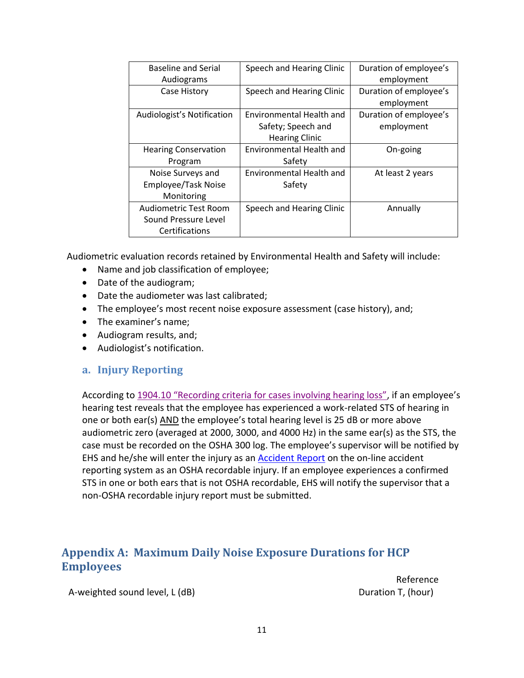| <b>Baseline and Serial</b>   | Speech and Hearing Clinic | Duration of employee's |
|------------------------------|---------------------------|------------------------|
| Audiograms                   |                           | employment             |
| Case History                 | Speech and Hearing Clinic | Duration of employee's |
|                              |                           | employment             |
| Audiologist's Notification   | Environmental Health and  | Duration of employee's |
|                              | Safety; Speech and        | employment             |
|                              | <b>Hearing Clinic</b>     |                        |
| <b>Hearing Conservation</b>  | Environmental Health and  | On-going               |
| Program                      | Safety                    |                        |
| Noise Surveys and            | Environmental Health and  | At least 2 years       |
| Employee/Task Noise          | Safety                    |                        |
| Monitoring                   |                           |                        |
| <b>Audiometric Test Room</b> | Speech and Hearing Clinic | Annually               |
| Sound Pressure Level         |                           |                        |
| Certifications               |                           |                        |

Audiometric evaluation records retained by Environmental Health and Safety will include:

- Name and job classification of employee;
- Date of the audiogram;
- Date the audiometer was last calibrated;
- The employee's most recent noise exposure assessment (case history), and;
- The examiner's name;
- Audiogram results, and;
- Audiologist's notification.

#### <span id="page-11-0"></span>**a. Injury Reporting**

According to [1904.10 "Recording criteria for cases involving hearing loss",](http://www.osha.gov/pls/oshaweb/owadisp.show_document?p_table=STANDARDS&p_id=9641) if an employee's hearing test reveals that the employee has experienced a work-related STS of hearing in one or both ear(s) AND the employee's total hearing level is 25 dB or more above audiometric zero (averaged at 2000, 3000, and 4000 Hz) in the same ear(s) as the STS, the case must be recorded on the OSHA 300 log. The employee's supervisor will be notified by EHS and he/she will enter the injury as an **Accident Report** on the on-line accident reporting system as an OSHA recordable injury. If an employee experiences a confirmed STS in one or both ears that is not OSHA recordable, EHS will notify the supervisor that a non-OSHA recordable injury report must be submitted.

#### <span id="page-11-1"></span>**Appendix A: Maximum Daily Noise Exposure Durations for HCP Employees**

A-weighted sound level, L (dB) Duration T, (hour)

Reference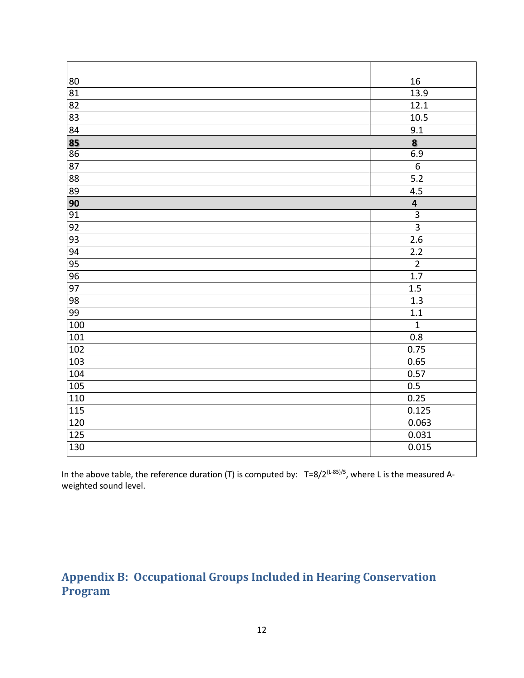| 80              | 16                      |
|-----------------|-------------------------|
| 81              | 13.9                    |
| 82              | 12.1                    |
| 83              | 10.5                    |
| $\overline{84}$ | 9.1                     |
| 85              | 8                       |
| $\overline{86}$ | 6.9                     |
| 87              | $\overline{6}$          |
| 88              | 5.2                     |
| 89              | 4.5                     |
| 90              | $\overline{\mathbf{4}}$ |
| $\overline{91}$ | $\overline{3}$          |
| 92              | $\overline{3}$          |
| 93              | $\overline{2.6}$        |
| 94              | 2.2                     |
| 95              | $\overline{2}$          |
| 96              | 1.7                     |
| 97              | 1.5                     |
| 98              | 1.3                     |
| 99              | 1.1                     |
| 100             | $\mathbf 1$             |
| 101             | 0.8                     |
| 102             | 0.75                    |
| 103             | 0.65                    |
| 104             | 0.57                    |
| 105             | 0.5                     |
| 110             | 0.25                    |
| 115             | 0.125                   |
| 120             | 0.063                   |
| 125             | 0.031                   |
| 130             | 0.015                   |

In the above table, the reference duration (T) is computed by:  $T=8/2^{(L-85)/5}$ , where L is the measured Aweighted sound level.

## <span id="page-12-0"></span>**Appendix B: Occupational Groups Included in Hearing Conservation Program**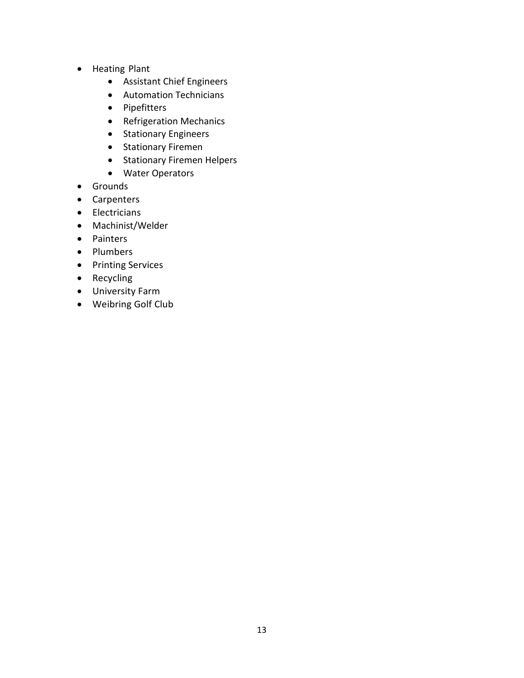- Heating Plant
	- Assistant Chief Engineers
	- Automation Technicians
	- Pipefitters
	- Refrigeration Mechanics
	- Stationary Engineers
	- Stationary Firemen
	- Stationary Firemen Helpers
	- Water Operators
- Grounds
- Carpenters
- Electricians
- Machinist/Welder
- Painters
- Plumbers
- Printing Services
- Recycling
- University Farm
- Weibring Golf Club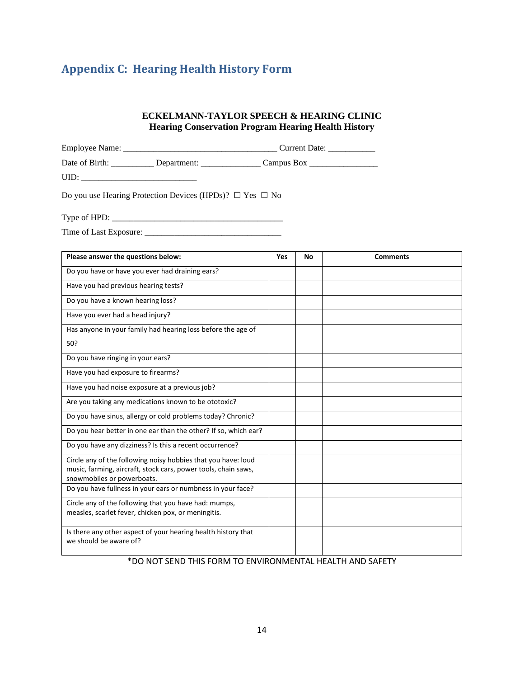## <span id="page-14-0"></span>**Appendix C: Hearing Health History Form**

#### **ECKELMANN-TAYLOR SPEECH & HEARING CLINIC Hearing Conservation Program Hearing Health History**

|                                                                                                                        | Date of Birth: ______________ Department: _____________________ Campus Box _________________________ |  |  |
|------------------------------------------------------------------------------------------------------------------------|------------------------------------------------------------------------------------------------------|--|--|
| $UID: \begin{tabular}{ c c c c } \hline \quad \quad & \quad \quad & \quad \quad & \quad \quad \\ \hline \end{tabular}$ |                                                                                                      |  |  |
| Do you use Hearing Protection Devices (HPDs)? $\Box$ Yes $\Box$ No                                                     |                                                                                                      |  |  |
|                                                                                                                        |                                                                                                      |  |  |
|                                                                                                                        |                                                                                                      |  |  |

| Please answer the questions below:                                                           | Yes | No | <b>Comments</b> |
|----------------------------------------------------------------------------------------------|-----|----|-----------------|
| Do you have or have you ever had draining ears?                                              |     |    |                 |
| Have you had previous hearing tests?                                                         |     |    |                 |
| Do you have a known hearing loss?                                                            |     |    |                 |
| Have you ever had a head injury?                                                             |     |    |                 |
| Has anyone in your family had hearing loss before the age of                                 |     |    |                 |
| 50?                                                                                          |     |    |                 |
| Do you have ringing in your ears?                                                            |     |    |                 |
| Have you had exposure to firearms?                                                           |     |    |                 |
| Have you had noise exposure at a previous job?                                               |     |    |                 |
| Are you taking any medications known to be ototoxic?                                         |     |    |                 |
| Do you have sinus, allergy or cold problems today? Chronic?                                  |     |    |                 |
| Do you hear better in one ear than the other? If so, which ear?                              |     |    |                 |
| Do you have any dizziness? Is this a recent occurrence?                                      |     |    |                 |
| Circle any of the following noisy hobbies that you have: loud                                |     |    |                 |
| music, farming, aircraft, stock cars, power tools, chain saws,<br>snowmobiles or powerboats. |     |    |                 |
| Do you have fullness in your ears or numbness in your face?                                  |     |    |                 |
| Circle any of the following that you have had: mumps,                                        |     |    |                 |
| measles, scarlet fever, chicken pox, or meningitis.                                          |     |    |                 |
| Is there any other aspect of your hearing health history that<br>we should be aware of?      |     |    |                 |

#### <span id="page-14-1"></span>\*DO NOT SEND THIS FORM TO ENVIRONMENTAL HEALTH AND SAFETY